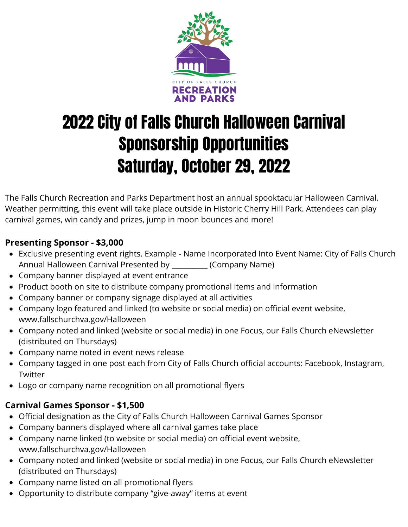

# 2022 City of Falls Church Halloween Carnival Sponsorship Opportunities Saturday, October 29, 2022

The Falls Church Recreation and Parks Department host an annual spooktacular Halloween Carnival. Weather permitting, this event will take place outside in Historic Cherry Hill Park. Attendees can play carnival games, win candy and prizes, jump in moon bounces and more!

## **Presenting Sponsor - \$3,000**

- Exclusive presenting event rights. Example Name Incorporated Into Event Name: City of Falls Church Annual Halloween Carnival Presented by \_\_\_\_\_\_\_\_\_\_ (Company Name)
- Company banner displayed at event entrance
- Product booth on site to distribute company promotional items and information
- Company banner or company signage displayed at all activities
- Company logo featured and linked (to website or social media) on official event website, www.fallschurchva.gov/Halloween
- Company noted and linked (website or social media) in one Focus, our Falls Church eNewsletter (distributed on Thursdays)
- Company name noted in event news release
- Company tagged in one post each from City of Falls Church official accounts: Facebook, Instagram, **Twitter**
- Logo or company name recognition on all promotional flyers

## **Carnival Games Sponsor - \$1,500**

- Official designation as the City of Falls Church Halloween Carnival Games Sponsor
- Company banners displayed where all carnival games take place
- Company name linked (to website or social media) on official event website, www.fallschurchva.gov/Halloween
- Company noted and linked (website or social media) in one Focus, our Falls Church eNewsletter (distributed on Thursdays)
- Company name listed on all promotional flyers
- Opportunity to distribute company "give-away" items at event